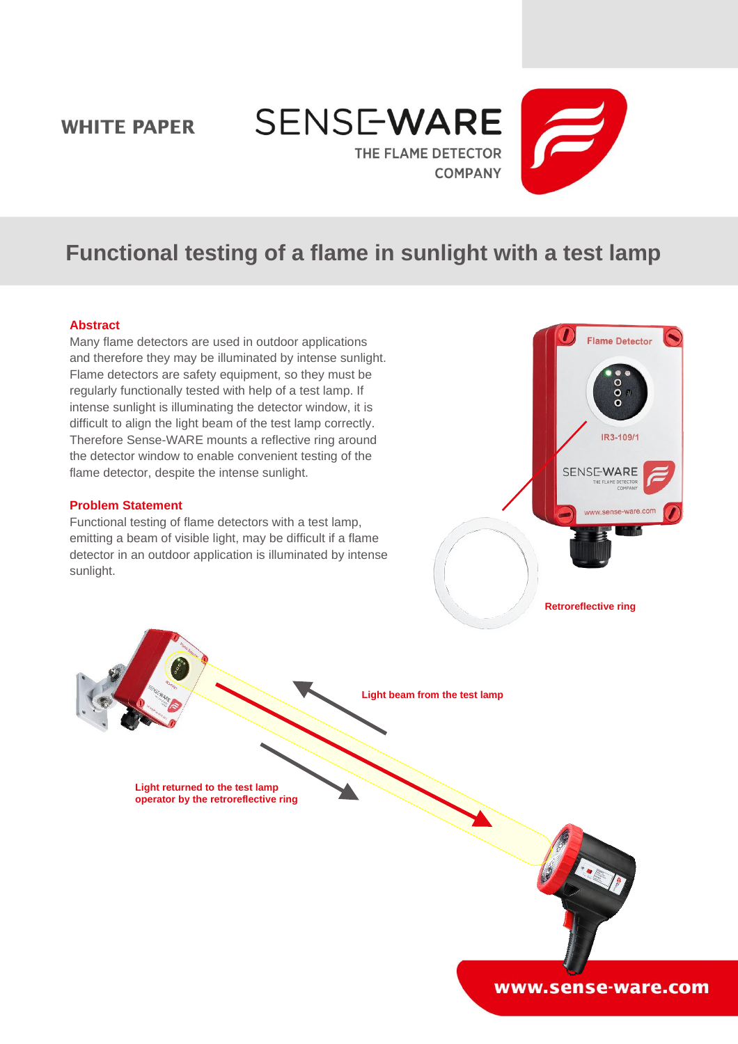## **WHITE PAPER**





# **Functional testing of a flame in sunlight with a test lamp**

#### **Abstract**

Many flame detectors are used in outdoor applications and therefore they may be illuminated by intense sunlight. Flame detectors are safety equipment, so they must be regularly functionally tested with help of a test lamp. If intense sunlight is illuminating the detector window, it is difficult to align the light beam of the test lamp correctly. Therefore Sense-WARE mounts a reflective ring around the detector window to enable convenient testing of the flame detector, despite the intense sunlight.

#### **Problem Statement**

Functional testing of flame detectors with a test lamp, emitting a beam of visible light, may be difficult if a flame detector in an outdoor application is illuminated by intense sunlight.



**Retroreflective ring**

**Light beam from the test lamp**

**Light returned to the test lamp operator by the retroreflective ring**